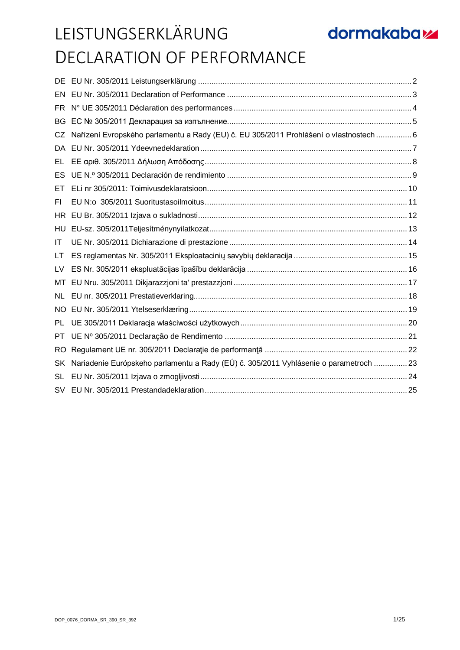| DE.       |                                                                                        |  |
|-----------|----------------------------------------------------------------------------------------|--|
| EN        |                                                                                        |  |
| FR.       |                                                                                        |  |
| <b>BG</b> |                                                                                        |  |
| CZ        | Nařízení Evropského parlamentu a Rady (EU) č. EU 305/2011 Prohlášení o vlastnostech  6 |  |
| DA        |                                                                                        |  |
| EL        |                                                                                        |  |
| ES        |                                                                                        |  |
| EТ        |                                                                                        |  |
| FI.       |                                                                                        |  |
| HR.       |                                                                                        |  |
| HU        |                                                                                        |  |
| IT        |                                                                                        |  |
| LT        |                                                                                        |  |
| LV        |                                                                                        |  |
| МT        |                                                                                        |  |
| <b>NL</b> |                                                                                        |  |
| NO.       |                                                                                        |  |
| PL        |                                                                                        |  |
| <b>PT</b> |                                                                                        |  |
| <b>RO</b> |                                                                                        |  |
| SK        | Nariadenie Európskeho parlamentu a Rady (EÚ) č. 305/2011 Vyhlásenie o parametroch  23  |  |
| SL        |                                                                                        |  |
| SV        |                                                                                        |  |
|           |                                                                                        |  |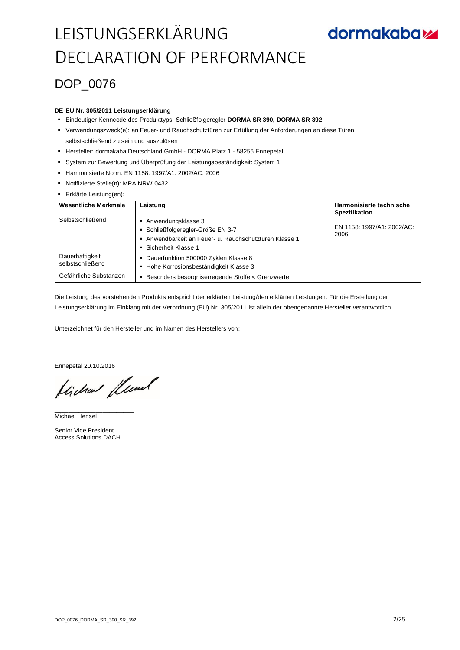## DOP\_0076

#### **DE EU Nr. 305/2011 Leistungserklärung**

- Eindeutiger Kenncode des Produkttyps: Schließfolgeregler **DORMA SR 390, DORMA SR 392**
- Verwendungszweck(e): an Feuer- und Rauchschutztüren zur Erfüllung der Anforderungen an diese Türen selbstschließend zu sein und auszulösen
- Hersteller: dormakaba Deutschland GmbH DORMA Platz 1 58256 Ennepetal
- System zur Bewertung und Überprüfung der Leistungsbeständigkeit: System 1
- Harmonisierte Norm: EN 1158: 1997/A1: 2002/AC: 2006
- Notifizierte Stelle(n): MPA NRW 0432
- Erklärte Leistung(en):

| <b>Wesentliche Merkmale</b>         | Leistung                                                                                                                                 | Harmonisierte technische<br><b>Spezifikation</b> |
|-------------------------------------|------------------------------------------------------------------------------------------------------------------------------------------|--------------------------------------------------|
| Selbstschließend                    | Anwendungsklasse 3<br>• Schließfolgeregler-Größe EN 3-7<br>Anwendbarkeit an Feuer- u. Rauchschutztüren Klasse 1<br>• Sicherheit Klasse 1 | EN 1158: 1997/A1: 2002/AC:<br>2006               |
| Dauerhaftigkeit<br>selbstschließend | • Dauerfunktion 500000 Zyklen Klasse 8<br>Hohe Korrosionsbeständigkeit Klasse 3<br>٠                                                     |                                                  |
| Gefährliche Substanzen              | Besonders besorgniserregende Stoffe < Grenzwerte                                                                                         |                                                  |

Die Leistung des vorstehenden Produkts entspricht der erklärten Leistung/den erklärten Leistungen. Für die Erstellung der Leistungserklärung im Einklang mit der Verordnung (EU) Nr. 305/2011 ist allein der obengenannte Hersteller verantwortlich.

Unterzeichnet für den Hersteller und im Namen des Herstellers von:

Ennepetal 20.10.2016

flichen fleund

\_\_\_\_\_\_\_\_\_\_\_\_\_\_\_\_\_\_\_\_\_\_\_ Michael Hensel

Senior Vice President Access Solutions DACH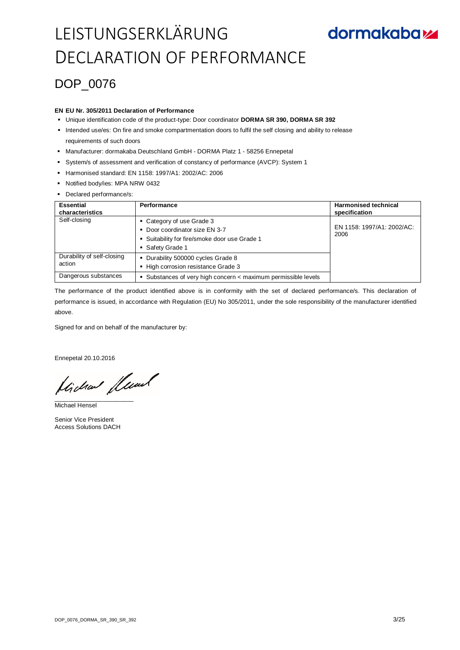## **dormakabazz**

### DOP\_0076

#### **EN EU Nr. 305/2011 Declaration of Performance**

- Unique identification code of the product-type: Door coordinator **DORMA SR 390, DORMA SR 392**
- Intended use/es: On fire and smoke compartmentation doors to fulfil the self closing and ability to release requirements of such doors
- Manufacturer: dormakaba Deutschland GmbH DORMA Platz 1 58256 Ennepetal
- System/s of assessment and verification of constancy of performance (AVCP): System 1
- Harmonised standard: EN 1158: 1997/A1: 2002/AC: 2006
- Notified body/ies: MPA NRW 0432
- Declared performance/s:

| <b>Essential</b><br>characteristics  | Performance                                                                                                                      | <b>Harmonised technical</b><br>specification |
|--------------------------------------|----------------------------------------------------------------------------------------------------------------------------------|----------------------------------------------|
| Self-closing                         | • Category of use Grade 3<br>• Door coordinator size EN 3-7<br>• Suitability for fire/smoke door use Grade 1<br>• Safety Grade 1 | EN 1158: 1997/A1: 2002/AC:<br>2006           |
| Durability of self-closing<br>action | • Durability 500000 cycles Grade 8<br>• High corrosion resistance Grade 3                                                        |                                              |
| Dangerous substances                 | • Substances of very high concern < maximum permissible levels                                                                   |                                              |

The performance of the product identified above is in conformity with the set of declared performance/s. This declaration of performance is issued, in accordance with Regulation (EU) No 305/2011, under the sole responsibility of the manufacturer identified above.

Signed for and on behalf of the manufacturer by:

Ennepetal 20.10.2016

Hichard fluad

Michael Hensel

Senior Vice President Access Solutions DACH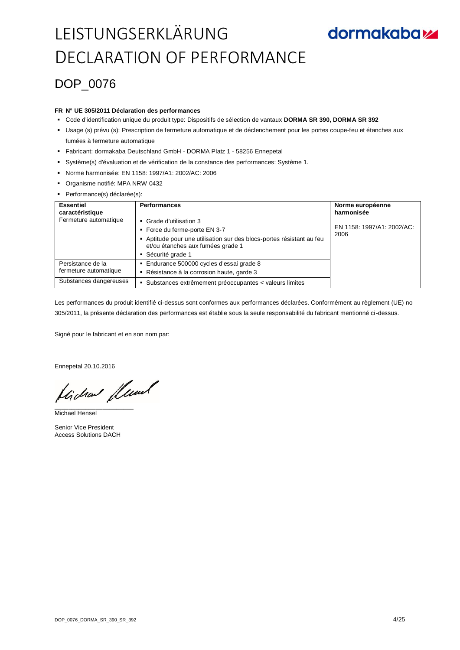### DOP\_0076

#### **FR N° UE 305/2011 Déclaration des performances**

- Code d'identification unique du produit type: Dispositifs de sélection de vantaux **DORMA SR 390, DORMA SR 392**
- Usage (s) prévu (s): Prescription de fermeture automatique et de déclenchement pour les portes coupe-feu et étanches aux fumées à fermeture automatique
- Fabricant: dormakaba Deutschland GmbH DORMA Platz 1 58256 Ennepetal
- Système(s) d'évaluation et de vérification de la constance des performances: Système 1.
- Norme harmonisée: EN 1158: 1997/A1: 2002/AC: 2006
- Organisme notifié: MPA NRW 0432
- Performance(s) déclarée(s):

| <b>Essentiel</b><br>caractéristique                                  | <b>Performances</b>                                                                                                                                                                      | Norme européenne<br>harmonisée     |
|----------------------------------------------------------------------|------------------------------------------------------------------------------------------------------------------------------------------------------------------------------------------|------------------------------------|
| Fermeture automatique                                                | • Grade d'utilisation 3<br>■ Force du ferme-porte EN 3-7<br>Aptitude pour une utilisation sur des blocs-portes résistant au feu<br>et/ou étanches aux fumées grade 1<br>Sécurité grade 1 | EN 1158: 1997/A1: 2002/AC:<br>2006 |
| Persistance de la<br>fermeture automatique<br>Substances dangereuses | Endurance 500000 cycles d'essai grade 8<br>Résistance à la corrosion haute, garde 3<br>٠<br>Substances extrêmement préoccupantes < valeurs limites<br>٠                                  |                                    |

Les performances du produit identifié ci-dessus sont conformes aux performances déclarées. Conformément au règlement (UE) no 305/2011, la présente déclaration des performances est établie sous la seule responsabilité du fabricant mentionné ci-dessus.

Signé pour le fabricant et en son nom par:

Ennepetal 20.10.2016

flichen fleund

Michael Hensel

Senior Vice President Access Solutions DACH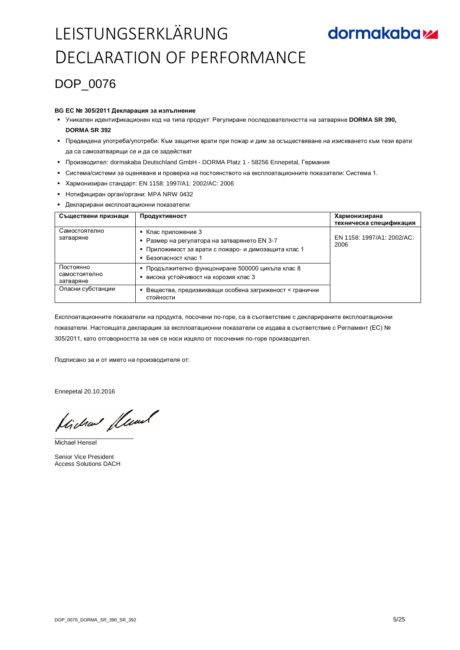### DOP 0076

#### **BG ЕС № 305/2011 Декларация за изпълнение**

- Уникален идентификационен код на типа продукт: Регулиране последователността на затваряне **DORMA SR 390, DORMA SR 392**
- Предвидена употреба/употреби: Към защитни врати при пожар и дим за осъществяване на изискването към тези врати да са самозатварящи се и да се задействат
- Производител: dormakaba Deutschland GmbH DORMA Platz 1 58256 Ennepetal, Германия
- Система/системи за оценяване и проверка на постоянството на експлоатационните показатели: Система 1.
- Хармонизиран стандарт: EN 1158: 1997/A1: 2002/AC: 2006
- Нотифициран орган/органи: MPA NRW 0432
- Декларирани експлоатационни показатели:

| Съществени признаци                     | Продуктивност                                                                                                                                 | Хармонизирана<br>техническа спецификация |
|-----------------------------------------|-----------------------------------------------------------------------------------------------------------------------------------------------|------------------------------------------|
| Самостоятелно<br>затваряне              | Клас приложение 3<br>Размер на регулатора на затварянето EN 3-7<br>• Приложимост за врати с пожаро- и димозащита клас 1<br>Безопасност клас 1 | EN 1158: 1997/A1: 2002/AC:<br>2006       |
| Постоянно<br>самостоятелно<br>затваряне | Продължително функцониране 500000 цикъла клас 8<br>٠<br>висока устойчивост на корозия клас 3                                                  |                                          |
| Опасни субстанции                       | Вещества, предизвикващи особена загриженост < гранични<br>стойности                                                                           |                                          |

Експлоатационните показатели на продукта, посочени по-горе, са в съответствие с декларираните експлоатационни показатели. Настоящата декларация за експлоатационни показатели се издава в съответствие с Регламент (ЕС) № 305/2011, като отговорността за нея се носи изцяло от посочения по-горе производител.

Подписано за и от името на производителя от:

Ennepetal 20.10.2016

tida fluml

Michael Hensel

Senior Vice President Access Solutions DACH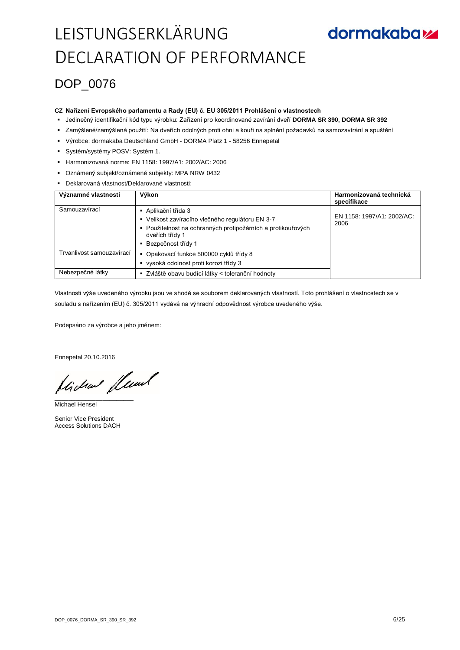### DOP\_0076

#### **CZ Nařízení Evropského parlamentu a Rady (EU) č. EU 305/2011 Prohlášení o vlastnostech**

- Jedinečný identifikační kód typu výrobku: Zařízení pro koordinované zavírání dveří **DORMA SR 390, DORMA SR 392**
- Zamýšlené/zamýšlená použití: Na dveřích odolných proti ohni a kouři na splnění požadavků na samozavírání a spuštění
- Výrobce: dormakaba Deutschland GmbH DORMA Platz 1 58256 Ennepetal
- Systém/systémy POSV: Systém 1.
- Harmonizovaná norma: EN 1158: 1997/A1: 2002/AC: 2006
- Oznámený subjekt/oznámené subjekty: MPA NRW 0432
- Deklarovaná vlastnost/Deklarované vlastnosti:

| Významné vlastnosti       | Výkon                                                                                                                                                                            | Harmonizovaná technická<br>specifikace |
|---------------------------|----------------------------------------------------------------------------------------------------------------------------------------------------------------------------------|----------------------------------------|
| Samouzavírací             | ■ Aplikační třída 3<br>■ Velikost zavíracího vlečného regulátoru EN 3-7<br>• Použitelnost na ochranných protipožárních a protikouřových<br>dveřích třídy 1<br>Bezpečnost třídy 1 | EN 1158: 1997/A1: 2002/AC:<br>2006     |
| Trvanlivost samouzavírací | • Opakovací funkce 500000 cyklů třídy 8<br>■ vysoká odolnost proti korozi třídy 3                                                                                                |                                        |
| Nebezpečné látky          | ■ Zvláště obavu budící látky < toleranční hodnoty                                                                                                                                |                                        |

Vlastnosti výše uvedeného výrobku jsou ve shodě se souborem deklarovaných vlastností. Toto prohlášení o vlastnostech se v souladu s nařízením (EU) č. 305/2011 vydává na výhradní odpovědnost výrobce uvedeného výše.

Podepsáno za výrobce a jeho jménem:

Ennepetal 20.10.2016

flichen fleund

Michael Hensel

Senior Vice President Access Solutions DACH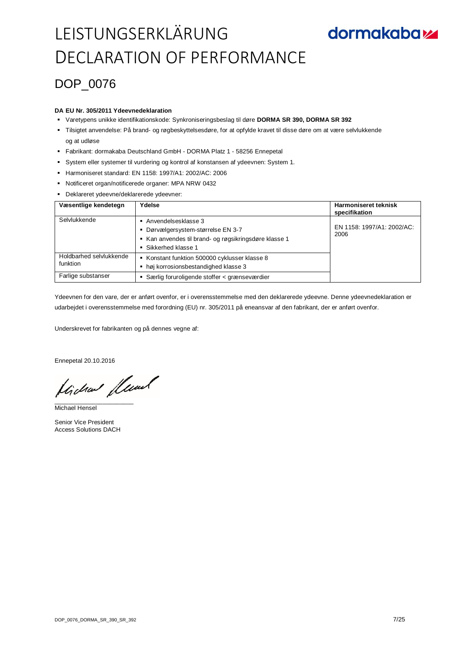### DOP\_0076

#### **DA EU Nr. 305/2011 Ydeevnedeklaration**

- Varetypens unikke identifikationskode: Synkroniseringsbeslag til døre **DORMA SR 390, DORMA SR 392**
- Tilsigtet anvendelse: På brand- og røgbeskyttelsesdøre, for at opfylde kravet til disse døre om at være selvlukkende og at udløse
- Fabrikant: dormakaba Deutschland GmbH DORMA Platz 1 58256 Ennepetal
- System eller systemer til vurdering og kontrol af konstansen af ydeevnen: System 1.
- Harmoniseret standard: EN 1158: 1997/A1: 2002/AC: 2006
- Notificeret organ/notificerede organer: MPA NRW 0432
- Deklareret ydeevne/deklarerede ydeevner:

| Væsentlige kendetegn                | Ydelse                                                                                                                                   | <b>Harmoniseret teknisk</b><br>specifikation |
|-------------------------------------|------------------------------------------------------------------------------------------------------------------------------------------|----------------------------------------------|
| Selvlukkende                        | Anvendelsesklasse 3<br>• Dørvælgersystem-størrelse EN 3-7<br>Kan anvendes til brand- og røgsikringsdøre klasse 1<br>■ Sikkerhed klasse 1 | EN 1158: 1997/A1: 2002/AC:<br>2006           |
| Holdbarhed selvlukkende<br>funktion | Konstant funktion 500000 cyklusser klasse 8<br>høj korrosionsbestandighed klasse 3                                                       |                                              |
| Farlige substanser                  | Særlig foruroligende stoffer < grænseværdier                                                                                             |                                              |

Ydeevnen for den vare, der er anført ovenfor, er i overensstemmelse med den deklarerede ydeevne. Denne ydeevnedeklaration er udarbejdet i overensstemmelse med forordning (EU) nr. 305/2011 på eneansvar af den fabrikant, der er anført ovenfor.

Underskrevet for fabrikanten og på dennes vegne af:

Ennepetal 20.10.2016

Lide Lewel

Michael Hensel

Senior Vice President Access Solutions DACH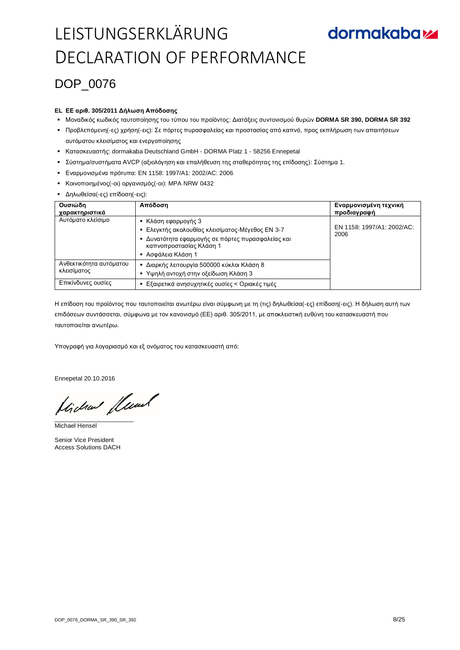## **dormakabazz**

### DOP 0076

#### **EL ΕΕ αριθ. 305/2011 Δήλωση Απόδοσης**

- Μοναδικός κωδικός ταυτοποίησης του τύπου του προϊόντος: Διατάξεις συντονισμού θυρών **DORMA SR 390, DORMA SR 392**
- Προβλεπόμενη(-ες) χρήση(-εις): Σε πόρτες πυρασφαλείας και προστασίας από καπνό, προς εκπλήρωση των απαιτήσεων αυτόματου κλεισίματος και ενεργοποίησης
- Κατασκευαστής: dormakaba Deutschland GmbH DORMA Platz 1 58256 Ennepetal
- Σύστημα/συστήματα AVCP (αξιολόγηση και επαλήθευση της σταθερότητας της επίδοσης): Σύστημα 1.
- Εναρμονισμένα πρότυπα: EN 1158: 1997/A1: 2002/AC: 2006
- Κοινοποιημένος(-οι) οργανισμός(-οι): MPA NRW 0432
- Δηλωθείσα(-ες) επίδοση(-εις):

| Ουσιώδη<br>χαρακτηριστικά              | Απόδοση                                                                          | Εναρμονισμένη τεχνική<br>προδιαγραφή |
|----------------------------------------|----------------------------------------------------------------------------------|--------------------------------------|
| Αυτόματο κλείσιμο                      | • Κλάση εφαρμογής 3<br>Ελεγκτής ακολουθίας κλεισίματος-Μέγεθος ΕΝ 3-7            | EN 1158: 1997/A1: 2002/AC:<br>2006   |
|                                        | Δυνατότητα εφαρμογής σε πόρτες πυρασφαλείας και<br>٠<br>καπνοπροστασίας Κλάση 1  |                                      |
|                                        | - Ασφάλεια Κλάση 1                                                               |                                      |
| Ανθεκτικότητα αυτόματου<br>κλεισίματος | Διαρκής λειτουργία 500000 κύκλοι Κλάση 8<br>■ Υψηλή αντοχή στην οξείδωση Κλάση 3 |                                      |
| Επικίνδυνες ουσίες                     | Εξαιρετικά ανησυχητικές ουσίες < Οριακές τιμές                                   |                                      |

Η επίδοση του προϊόντος που ταυτοποιείται ανωτέρω είναι σύμφωνη με τη (τις) δηλωθείσα(-ες) επίδοση(-εις). Η δήλωση αυτή των επιδόσεων συντάσσεται, σύμφωνα με τον κανονισμό (ΕΕ) αριθ. 305/2011, με αποκλειστική ευθύνη του κατασκευαστή που ταυτοποιείται ανωτέρω.

Υπογραφή για λογαριασμό και εξ ονόματος του κατασκευαστή από:

Ennepetal 20.10.2016

tidae fluml

Michael Hensel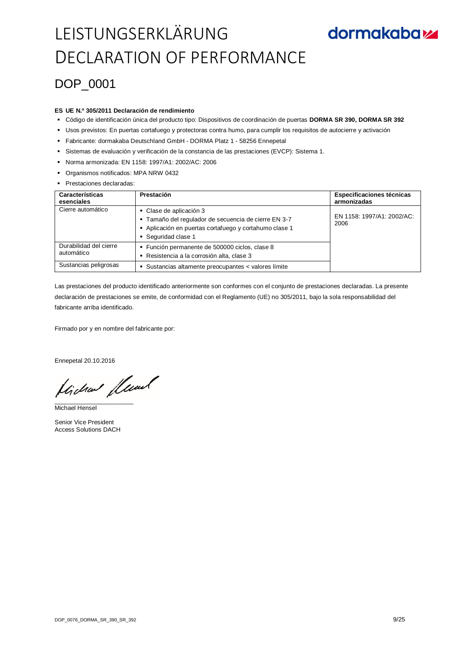### DOP 0001

#### **ES UE N.º 305/2011 Declaración de rendimiento**

- Código de identificación única del producto tipo: Dispositivos de coordinación de puertas **DORMA SR 390, DORMA SR 392**
- Usos previstos: En puertas cortafuego y protectoras contra humo, para cumplir los requisitos de autocierre y activación
- Fabricante: dormakaba Deutschland GmbH DORMA Platz 1 58256 Ennepetal
- Sistemas de evaluación y verificación de la constancia de las prestaciones (EVCP): Sistema 1.
- Norma armonizada: EN 1158: 1997/A1: 2002/AC: 2006
- Organismos notificados: MPA NRW 0432
- **Prestaciones declaradas:**

| Características<br>esenciales        | Prestación                                                                                                                                                       | Especificaciones técnicas<br>armonizadas |
|--------------------------------------|------------------------------------------------------------------------------------------------------------------------------------------------------------------|------------------------------------------|
| Cierre automático                    | • Clase de aplicación 3<br>- Tamaño del regulador de secuencia de cierre EN 3-7<br>- Aplicación en puertas cortafuego y cortahumo clase 1<br>• Sequridad clase 1 | EN 1158: 1997/A1: 2002/AC:<br>2006       |
| Durabilidad del cierre<br>automático | · Función permanente de 500000 ciclos, clase 8<br>- Resistencia a la corrosión alta, clase 3                                                                     |                                          |
| Sustancias peligrosas                | • Sustancias altamente preocupantes < valores límite                                                                                                             |                                          |

Las prestaciones del producto identificado anteriormente son conformes con el conjunto de prestaciones declaradas. La presente declaración de prestaciones se emite, de conformidad con el Reglamento (UE) no 305/2011, bajo la sola responsabilidad del fabricante arriba identificado.

Firmado por y en nombre del fabricante por:

Ennepetal 20.10.2016

Hicha fluat

Michael Hensel

Senior Vice President Access Solutions DACH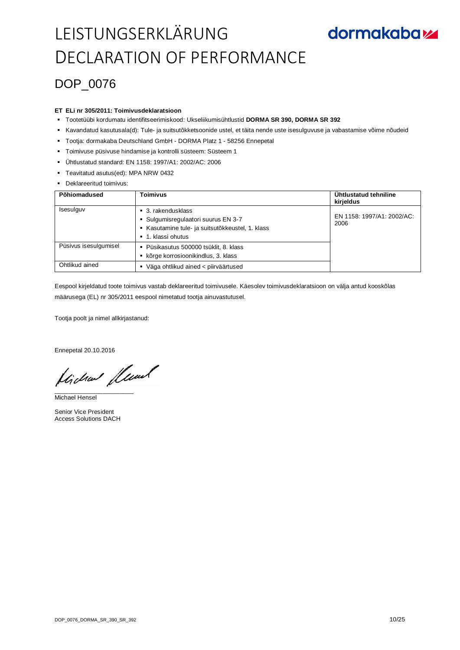### DOP\_0076

#### **ET ELi nr 305/2011: Toimivusdeklaratsioon**

- Tootetüübi kordumatu identifitseerimiskood: Ukseliikumisühtlustid **DORMA SR 390, DORMA SR 392**
- Kavandatud kasutusala(d): Tule- ja suitsutõkketsoonide ustel, et täita nende uste isesulguvuse ja vabastamise võime nõudeid
- Tootja: dormakaba Deutschland GmbH DORMA Platz 1 58256 Ennepetal
- Toimivuse püsivuse hindamise ja kontrolli süsteem: Süsteem 1
- Ühtlustatud standard: EN 1158: 1997/A1: 2002/AC: 2006
- Teavitatud asutus(ed): MPA NRW 0432
- **Deklareeritud toimivus:**

| Põhiomadused          | Toimivus                                                                                                                                       | Ühtlustatud tehniline<br>kirjeldus |
|-----------------------|------------------------------------------------------------------------------------------------------------------------------------------------|------------------------------------|
| Isesulguv             | $\blacksquare$ 3. rakendusklass<br>• Sulgumisregulaatori suurus EN 3-7<br>Kasutamine tule- ja suitsutõkkeustel, 1. klass<br>■ 1. klassi ohutus | EN 1158: 1997/A1: 2002/AC:<br>2006 |
| Püsivus isesulgumisel | Püsikasutus 500000 tsüklit, 8. klass<br>٠<br>kõrge korrosioonikindlus, 3. klass                                                                |                                    |
| Ohtlikud ained        | Väga ohtlikud ained < piirväärtused                                                                                                            |                                    |

Eespool kirjeldatud toote toimivus vastab deklareeritud toimivusele. Käesolev toimivusdeklaratsioon on välja antud kooskõlas määrusega (EL) nr 305/2011 eespool nimetatud tootja ainuvastutusel.

Tootja poolt ja nimel allkirjastanud:

Ennepetal 20.10.2016

Hicha flund

Michael Hensel

Senior Vice President Access Solutions DACH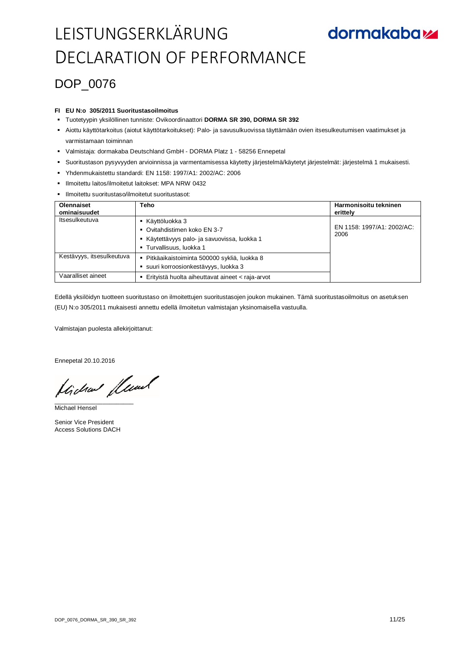## **dormakabazz**

### DOP\_0076

#### **FI EU N:o 305/2011 Suoritustasoilmoitus**

- Tuotetyypin yksilöllinen tunniste: Ovikoordinaattori **DORMA SR 390, DORMA SR 392**
- Aiottu käyttötarkoitus (aiotut käyttötarkoitukset): Palo- ja savusulkuovissa täyttämään ovien itsesulkeutumisen vaatimukset ja varmistamaan toiminnan
- Valmistaja: dormakaba Deutschland GmbH DORMA Platz 1 58256 Ennepetal
- Suoritustason pysyvyyden arvioinnissa ja varmentamisessa käytetty järjestelmä/käytetyt järjestelmät: järjestelmä 1 mukaisesti.
- Yhdenmukaistettu standardi: EN 1158: 1997/A1: 2002/AC: 2006
- Ilmoitettu laitos/ilmoitetut laitokset: MPA NRW 0432
- Ilmoitettu suoritustaso/ilmoitetut suoritustasot:

| <b>Olennaiset</b><br>ominaisuudet | Teho                                                                                                                       | Harmonisoitu tekninen<br>erittely  |
|-----------------------------------|----------------------------------------------------------------------------------------------------------------------------|------------------------------------|
| Itsesulkeutuva                    | ■ Käyttöluokka 3<br>• Ovitahdistimen koko EN 3-7<br>Käytettävyys palo- ja savuovissa, luokka 1<br>■ Turvallisuus, luokka 1 | EN 1158: 1997/A1: 2002/AC:<br>2006 |
| Kestävyys, itsesulkeutuva         | Pitkäaikaistoiminta 500000 sykliä, luokka 8<br>· suuri korroosionkestävyys, luokka 3                                       |                                    |
| Vaaralliset aineet                | Erityistä huolta aiheuttavat aineet < raja-arvot                                                                           |                                    |

Edellä yksilöidyn tuotteen suoritustaso on ilmoitettujen suoritustasojen joukon mukainen. Tämä suoritustasoilmoitus on asetuksen (EU) N:o 305/2011 mukaisesti annettu edellä ilmoitetun valmistajan yksinomaisella vastuulla.

Valmistajan puolesta allekirjoittanut:

Ennepetal 20.10.2016

Lide Lewel

Michael Hensel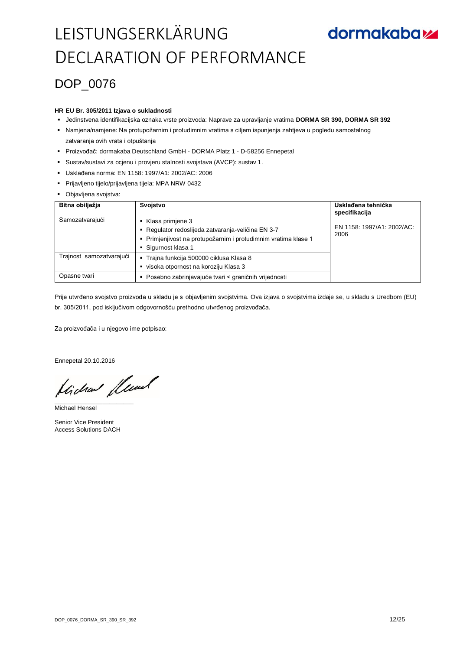## **dormakabazz**

### DOP\_0076

#### **HR EU Br. 305/2011 Izjava o sukladnosti**

- Jedinstvena identifikacijska oznaka vrste proizvoda: Naprave za upravljanje vratima **DORMA SR 390, DORMA SR 392**
- Namjena/namjene: Na protupožarnim i protudimnim vratima s ciljem ispunjenja zahtjeva u pogledu samostalnog zatvaranja ovih vrata i otpuštanja
- Proizvođač: dormakaba Deutschland GmbH DORMA Platz 1 D-58256 Ennepetal
- Sustav/sustavi za ocjenu i provjeru stalnosti svojstava (AVCP): sustav 1.
- Usklađena norma: EN 1158: 1997/A1: 2002/AC: 2006
- Prijavljeno tijelo/prijavljena tijela: MPA NRW 0432
- Objavljena svojstva:

| Bitna obilježja          | Svojstvo                                                                                                                                                      | Usklađena tehnička<br>specifikacija |
|--------------------------|---------------------------------------------------------------------------------------------------------------------------------------------------------------|-------------------------------------|
| Samozatvarajući          | Klasa primjene 3<br>Regulator redoslijeda zatvaranja-veličina EN 3-7<br>- Primjenjivost na protupožarnim i protudimnim vratima klase 1<br>• Sigurnost klasa 1 | EN 1158: 1997/A1: 2002/AC:<br>2006  |
| Trajnost samozatvarajući | ■ Trajna funkcija 500000 ciklusa Klasa 8<br>visoka otpornost na koroziju Klasa 3                                                                              |                                     |
| Opasne tvari             | Posebno zabrinjavajuće tvari < graničnih vrijednosti                                                                                                          |                                     |

Prije utvrđeno svojstvo proizvoda u skladu je s objavljenim svojstvima. Ova izjava o svojstvima izdaje se, u skladu s Uredbom (EU) br. 305/2011, pod isključivom odgovornošću prethodno utvrđenog proizvođača.

Za proizvođača i u njegovo ime potpisao:

Ennepetal 20.10.2016

Lide fleund

Michael Hensel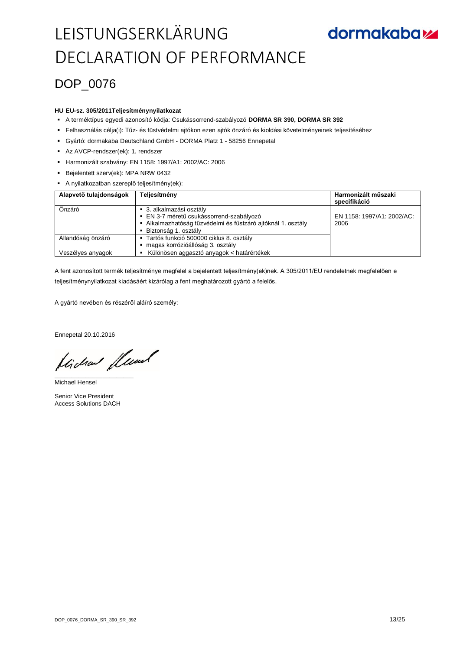## **dormakabazz**

### DOP\_0076

#### **HU EU-sz. 305/2011Teljesítménynyilatkozat**

- A terméktípus egyedi azonosító kódja: Csukássorrend-szabályozó **DORMA SR 390, DORMA SR 392**
- Felhasználás célja(i): Tűz- és füstvédelmi ajtókon ezen ajtók önzáró és kioldási követelményeinek teljesítéséhez
- Gyártó: dormakaba Deutschland GmbH DORMA Platz 1 58256 Ennepetal
- Az AVCP-rendszer(ek): 1. rendszer
- Harmonizált szabvány: EN 1158: 1997/A1: 2002/AC: 2006
- Bejelentett szerv(ek): MPA NRW 0432
- A nyilatkozatban szereplő teljesítmény(ek):

| Alapvető tulajdonságok | Teljesítmény                                                                                                                                                   | Harmonizált műszaki<br>specifikáció |
|------------------------|----------------------------------------------------------------------------------------------------------------------------------------------------------------|-------------------------------------|
| Önzáró                 | ■ 3. alkalmazási osztály<br>· EN 3-7 méretű csukássorrend-szabályozó<br>- Alkalmazhatóság tűzvédelmi és füstzáró ajtóknál 1. osztály<br>- Biztonság 1. osztály | EN 1158: 1997/A1: 2002/AC:<br>2006  |
| Allandóság önzáró      | ■ Tartós funkció 500000 ciklus 8. osztály<br>magas korrózióállóság 3. osztály                                                                                  |                                     |
| Veszélyes anyagok      | Különösen aggasztó anyagok < határértékek                                                                                                                      |                                     |

A fent azonosított termék teljesítménye megfelel a bejelentett teljesítmény(ek)nek. A 305/2011/EU rendeletnek megfelelően e teljesítménynyilatkozat kiadásáért kizárólag a fent meghatározott gyártó a felelős.

A gyártó nevében és részéről aláíró személy:

Ennepetal 20.10.2016

flichen fleund

Michael Hensel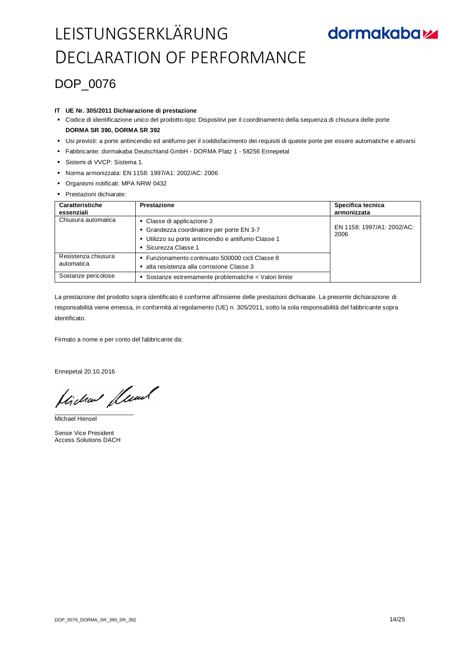### DOP\_0076

#### **IT UE Nr. 305/2011 Dichiarazione di prestazione**

 Codice di identificazione unico del prodotto-tipo: Dispositivi per il coordinamento della sequenza di chiusura delle porte **DORMA SR 390, DORMA SR 392**

- Usi previsti: a porte antincendio ed antifumo per il soddisfacimento dei requisiti di queste porte per essere automatiche e attvarsi
- Fabbricante: dormakaba Deutschland GmbH DORMA Platz 1 58256 Ennepetal
- Sistemi di VVCP: Sistema 1.
- Norma armonizzata: EN 1158: 1997/A1: 2002/AC: 2006
- Organismi notificati: MPA NRW 0432
- **Prestazioni dichiarate:**

| Caratteristiche<br>essenziali     | Prestazione                                                                                                                                          | Specifica tecnica<br>armonizzata   |
|-----------------------------------|------------------------------------------------------------------------------------------------------------------------------------------------------|------------------------------------|
| Chiusura automatica               | • Classe di applicazione 3<br>• Grandezza coordinatore per porte EN 3-7<br>Utilizzo su porte antincendio e antifumo Classe 1<br>• Sicurezza Classe 1 | EN 1158: 1997/A1: 2002/AC:<br>2006 |
| Resistenza chiusura<br>automatica | · Funzionamento continuato 500000 cicli Classe 8<br>alta resistenza alla corrosione Classe 3                                                         |                                    |
| Sostanze pericolose               | • Sostanze estremamente problematiche < Valori limite                                                                                                |                                    |

La prestazione del prodotto sopra identificato è conforme all'insieme delle prestazioni dichiarate. La presente dichiarazione di responsabilità viene emessa, in conformità al regolamento (UE) n. 305/2011, sotto la sola responsabilità del fabbricante sopra identificato.

Firmato a nome e per conto del fabbricante da:

Ennepetal 20.10.2016

flichen fleund

Michael Hensel

Senior Vice President Access Solutions DACH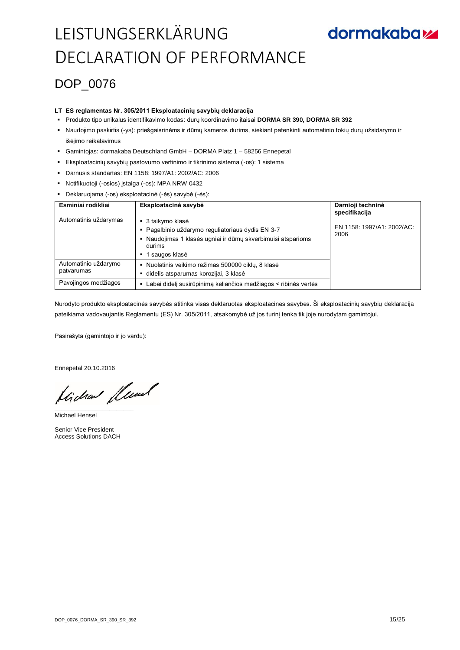### DOP\_0076

#### **LT ES reglamentas Nr. 305/2011 Eksploatacinių savybių deklaracija**

- Produkto tipo unikalus identifikavimo kodas: durų koordinavimo įtaisai **DORMA SR 390, DORMA SR 392**
- Naudojimo paskirtis (-ys): priešgaisrinėms ir dūmų kameros durims, siekiant patenkinti automatinio tokių durų užsidarymo ir išėjimo reikalavimus
- Gamintojas: dormakaba Deutschland GmbH DORMA Platz 1 58256 Ennepetal
- Eksploatacinių savybių pastovumo vertinimo ir tikrinimo sistema (-os): 1 sistema
- Darnusis standartas: EN 1158: 1997/A1: 2002/AC: 2006
- Notifikuotoji (-osios) įstaiga (-os): MPA NRW 0432
- Deklaruojama (-os) eksploatacinė (-ės) savybė (-ės):

| Esminiai rodikliai                 | Eksploatacinė savybė                                                                                                                                                  | Darnioji techninė<br>specifikacija |
|------------------------------------|-----------------------------------------------------------------------------------------------------------------------------------------------------------------------|------------------------------------|
| Automatinis uždarymas              | ■ 3 taikymo klasė<br>- Pagalbinio uždarymo reguliatoriaus dydis EN 3-7<br>Naudojimas 1 klasės ugniai ir dūmų skverbimuisi atsparioms<br>durims<br>1 saugos klasė<br>٠ | EN 1158: 1997/A1: 2002/AC:<br>2006 |
| Automatinio uždarymo<br>patvarumas | • Nuolatinis veikimo režimas 500000 ciklų, 8 klasė<br>didelis atsparumas korozijai, 3 klasė                                                                           |                                    |
| Pavojingos medžiagos               | Labai didelį susirūpinimą keliančios medžiagos < ribinės vertės<br>٠                                                                                                  |                                    |

Nurodyto produkto eksploatacinės savybės atitinka visas deklaruotas eksploatacines savybes. Ši eksploatacinių savybių deklaracija pateikiama vadovaujantis Reglamentu (ES) Nr. 305/2011, atsakomybė už jos turinį tenka tik joje nurodytam gamintojui.

Pasirašyta (gamintojo ir jo vardu):

Ennepetal 20.10.2016

tidan fluml

Michael Hensel

Senior Vice President Access Solutions DACH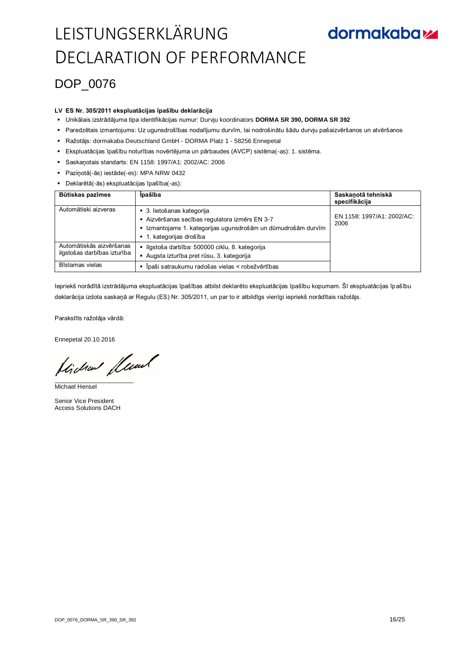### DOP\_0076

#### **LV ES Nr. 305/2011 ekspluatācijas īpašību deklarācija**

- Unikālais izstrādājuma tipa identifikācijas numur: Durvju koordinators **DORMA SR 390, DORMA SR 392**
- Paredzētais izmantojums: Uz ugunsdrošības nodalījumu durvīm, lai nodrošinātu šādu durvju pašaizvēršanos un atvēršanos
- Ražotājs: dormakaba Deutschland GmbH DORMA Platz 1 58256 Ennepetal
- Ekspluatācijas īpašību noturības novērtējuma un pārbaudes (AVCP) sistēma(-as): 1. sistēma.
- Saskaņotais standarts: EN 1158: 1997/A1: 2002/AC: 2006
- Paziņotā(-ās) iestāde(-es): MPA NRW 0432
- Deklarētā(-ās) ekspluatācijas īpašība(-as):

| Būtiskas pazīmes                                        | <b>Ipašība</b>                                                                                                                                                          | Saskanotā tehniskā<br>specifikācija |
|---------------------------------------------------------|-------------------------------------------------------------------------------------------------------------------------------------------------------------------------|-------------------------------------|
| Automātiski aizveras                                    | • 3. lietošanas kategorija<br>- Aizvēršanas secības regulatora izmērs EN 3-7<br>Izmantojams 1. kategorijas ugunsdrošām un dūmudrošām durvīm<br>■ 1. kategorijas drošība | EN 1158: 1997/A1: 2002/AC:<br>2006  |
| Automātiskās aizvēršanas<br>ilgstošas darbības izturība | - Ilgstoša darbība: 500000 ciklu, 8. kategorija<br>Augsta izturība pret rūsu, 3. kategorija                                                                             |                                     |
| Bīstamas vielas                                         | Īpaši satraukumu radošas vielas < robežvērtības                                                                                                                         |                                     |

Iepriekš norādītā izstrādājuma ekspluatācijas īpašības atbilst deklarēto ekspluatācijas īpašību kopumam. Šī ekspluatācijas īpašību deklarācija izdota saskaņā ar Regulu (ES) Nr. 305/2011, un par to ir atbildīgs vienīgi iepriekš norādītais ražotājs.

Parakstīts ražotāja vārdā:

Ennepetal 20.10.2016

flichen fleund

Michael Hensel

Senior Vice President Access Solutions DACH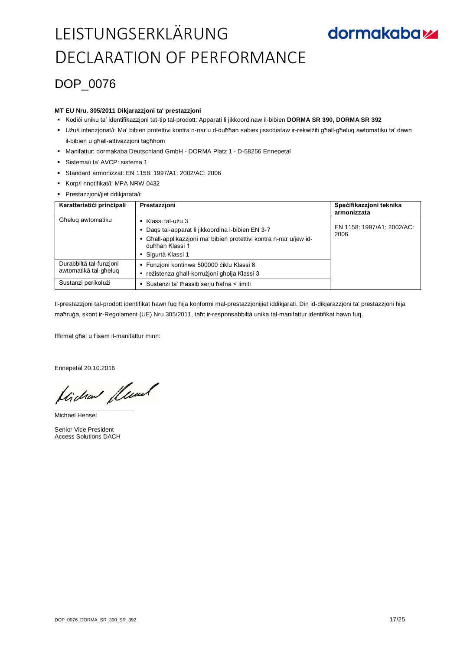### DOP\_0076

#### **MT EU Nru. 305/2011 Dikjarazzjoni ta' prestazzjoni**

- Kodići uniku ta' identifikazzjoni tat-tip tal-prodott: Apparati li jikkoordinaw il-bibien DORMA SR 390, DORMA SR 392
- Użu/i intenzjonat/i: Ma' bibien protettivi kontra n-nar u d-duħħan sabiex jissodisfaw ir-rekwiżiti għall-għeluq awtomatiku ta' dawn il-bibien u għall-attivazzjoni tagħhom
- Manifattur: dormakaba Deutschland GmbH DORMA Platz 1 D-58256 Ennepetal
- Sistema/i ta' AVCP: sistema 1
- Standard armonizzat: EN 1158: 1997/A1: 2002/AC: 2006
- Korp/i nnotifikat/i: MPA NRW 0432
- Prestazzjoni/jiet ddikjarata/i:

| Karatteristići prinčipali | Prestazzjoni                                                                                                        | Specifikazzjoni teknika<br>armonizzata |
|---------------------------|---------------------------------------------------------------------------------------------------------------------|----------------------------------------|
| Għeluq awtomatiku         | Klassi tal-użu 3<br>٠                                                                                               | EN 1158: 1997/A1: 2002/AC:             |
|                           | Dags tal-apparat li jikkoordina l-bibien EN 3-7<br>Għall-applikazzjoni ma' bibien protettivi kontra n-nar u/jew id- | 2006                                   |
|                           | duħħan Klassi 1                                                                                                     |                                        |
|                           | • Sigurtà Klassi 1                                                                                                  |                                        |
| Durabbiltà tal-funzioni   | - Funzjoni kontinwa 500000 ciklu Klassi 8                                                                           |                                        |
| awtomatikà tal-għelug     | reżistenza għall-korrużioni għolja Klassi 3                                                                         |                                        |
| Sustanzi perikolużi       | Sustanzi ta' thassib serju hafna < limiti                                                                           |                                        |

Il-prestazzjoni tal-prodott identifikat hawn fuq hija konformi mal-prestazzjonijiet iddikjarati. Din id-dikjarazzjoni ta' prestazzjoni hija maħruġa, skont ir-Regolament (UE) Nru 305/2011, taħt ir-responsabbiltà unika tal-manifattur identifikat hawn fuq.

Iffirmat għal u f'isem il-manifattur minn:

Ennepetal 20.10.2016

Lide flumb

Michael Hensel

Senior Vice President Access Solutions DACH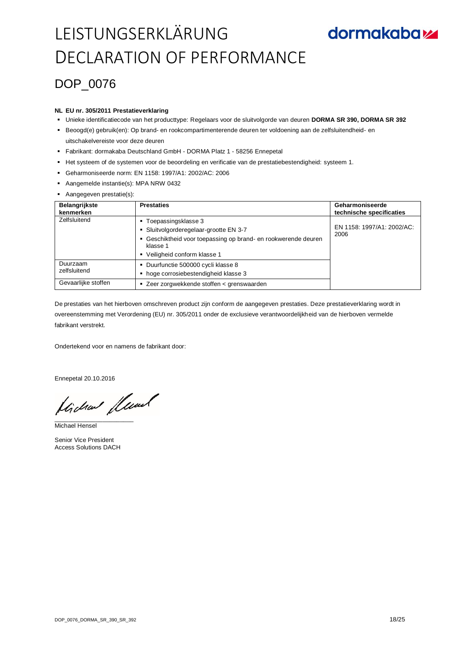## **dormakabazz**

### DOP\_0076

#### **NL EU nr. 305/2011 Prestatieverklaring**

- Unieke identificatiecode van het producttype: Regelaars voor de sluitvolgorde van deuren **DORMA SR 390, DORMA SR 392**
- Beoogd(e) gebruik(en): Op brand- en rookcompartimenterende deuren ter voldoening aan de zelfsluitendheid- en uitschakelvereiste voor deze deuren
- Fabrikant: dormakaba Deutschland GmbH DORMA Platz 1 58256 Ennepetal
- Het systeem of de systemen voor de beoordeling en verificatie van de prestatiebestendigheid: systeem 1.
- Geharmoniseerde norm: EN 1158: 1997/A1: 2002/AC: 2006
- Aangemelde instantie(s): MPA NRW 0432
- Aangegeven prestatie(s):

| <b>Belangrijkste</b><br>kenmerken | <b>Prestaties</b>                                                                                                                                                             | Geharmoniseerde<br>technische specificaties |
|-----------------------------------|-------------------------------------------------------------------------------------------------------------------------------------------------------------------------------|---------------------------------------------|
| Zelfsluitend                      | Toepassingsklasse 3<br>٠<br>Sluitvolgorderegelaar-grootte EN 3-7<br>Geschiktheid voor toepassing op brand- en rookwerende deuren<br>klasse 1<br>• Veiligheid conform klasse 1 | EN 1158: 1997/A1: 2002/AC:<br>2006          |
| Duurzaam<br>zelfsluitend          | • Duurfunctie 500000 cycli klasse 8<br>hoge corrosiebestendigheid klasse 3                                                                                                    |                                             |
| Gevaarlijke stoffen               | Zeer zorgwekkende stoffen < grenswaarden<br>٠                                                                                                                                 |                                             |

De prestaties van het hierboven omschreven product zijn conform de aangegeven prestaties. Deze prestatieverklaring wordt in overeenstemming met Verordening (EU) nr. 305/2011 onder de exclusieve verantwoordelijkheid van de hierboven vermelde fabrikant verstrekt.

Ondertekend voor en namens de fabrikant door:

Ennepetal 20.10.2016

Hicha fluml

Michael Hensel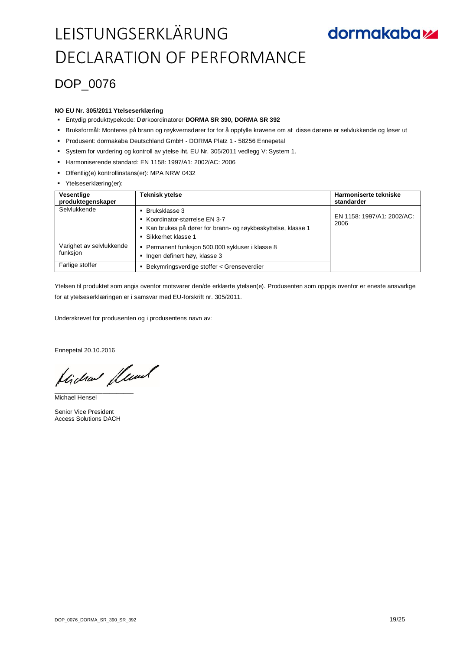### DOP\_0076

#### **NO EU Nr. 305/2011 Ytelseserklæring**

- Entydig produkttypekode: Dørkoordinatorer **DORMA SR 390, DORMA SR 392**
- Bruksformål: Monteres på brann og røykvernsdører for for å oppfylle kravene om at disse dørene er selvlukkende og løser ut
- Produsent: dormakaba Deutschland GmbH DORMA Platz 1 58256 Ennepetal
- System for vurdering og kontroll av ytelse iht. EU Nr. 305/2011 vedlegg V: System 1.
- Harmoniserende standard: EN 1158: 1997/A1: 2002/AC: 2006
- Offentlig(e) kontrollinstans(er): MPA NRW 0432
- Ytelseserklæring(er):

| Vesentlige<br>produktegenskaper      | Teknisk ytelse                                                                                                                         | Harmoniserte tekniske<br>standarder |
|--------------------------------------|----------------------------------------------------------------------------------------------------------------------------------------|-------------------------------------|
| Selvlukkende                         | Bruksklasse 3<br>■ Koordinator-størrelse EN 3-7<br>Kan brukes på dører for brann- og røykbeskyttelse, klasse 1<br>■ Sikkerhet klasse 1 | EN 1158: 1997/A1: 2002/AC:<br>2006  |
| Varighet av selvlukkende<br>funksjon | ■ Permanent funksjon 500.000 sykluser i klasse 8<br>Ingen definert høy, klasse 3                                                       |                                     |
| Farlige stoffer                      | Bekymringsverdige stoffer < Grenseverdier                                                                                              |                                     |

Ytelsen til produktet som angis ovenfor motsvarer den/de erklærte ytelsen(e). Produsenten som oppgis ovenfor er eneste ansvarlige for at ytelseserklæringen er i samsvar med EU-forskrift nr. 305/2011.

Underskrevet for produsenten og i produsentens navn av:

Ennepetal 20.10.2016

Hicha flund

Michael Hensel

Senior Vice President Access Solutions DACH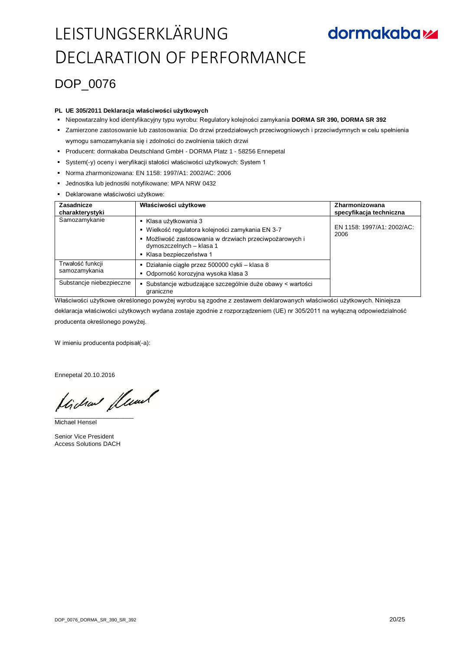### DOP\_0076

#### **PL UE 305/2011 Deklaracja właściwości użytkowych**

- Niepowtarzalny kod identyfikacyjny typu wyrobu: Regulatory kolejności zamykania **DORMA SR 390, DORMA SR 392**
- Zamierzone zastosowanie lub zastosowania: Do drzwi przedziałowych przeciwogniowych i przeciwdymnych w celu spełnienia wymogu samozamykania się i zdolności do zwolnienia takich drzwi
- Producent: dormakaba Deutschland GmbH DORMA Platz 1 58256 Ennepetal
- System(-y) oceny i weryfikacji stałości właściwości użytkowych: System 1
- Norma zharmonizowana: EN 1158: 1997/A1: 2002/AC: 2006
- Jednostka lub jednostki notyfikowane: MPA NRW 0432
- Deklarowane właściwości użytkowe:

| Zasadnicze<br>charakterystyki     | Właściwości użytkowe                                                                                                                                                                  | Zharmonizowana<br>specyfikacja techniczna |
|-----------------------------------|---------------------------------------------------------------------------------------------------------------------------------------------------------------------------------------|-------------------------------------------|
| Samozamykanie                     | Klasa użytkowania 3<br>Wielkość regulatora kolejności zamykania EN 3-7<br>Możliwość zastosowania w drzwiach przeciwpożarowych i<br>dymoszczelnych – klasa 1<br>Klasa bezpieczeństwa 1 | EN 1158: 1997/A1: 2002/AC:<br>2006        |
| Trwałość funkcji<br>samozamykania | Działanie ciągłe przez 500000 cykli – klasa 8<br>٠<br>Odporność korozyjna wysoka klasa 3                                                                                              |                                           |
| Substancje niebezpieczne          | Substancje wzbudzające szczególnie duże obawy < wartości<br>graniczne                                                                                                                 |                                           |

Właściwości użytkowe określonego powyżej wyrobu są zgodne z zestawem deklarowanych właściwości użytkowych. Niniejsza deklaracja właściwości użytkowych wydana zostaje zgodnie z rozporządzeniem (UE) nr 305/2011 na wyłączną odpowiedzialność producenta określonego powyżej.

W imieniu producenta podpisał(-a):

Ennepetal 20.10.2016

flichen fleund

Michael Hensel

Senior Vice President Access Solutions DACH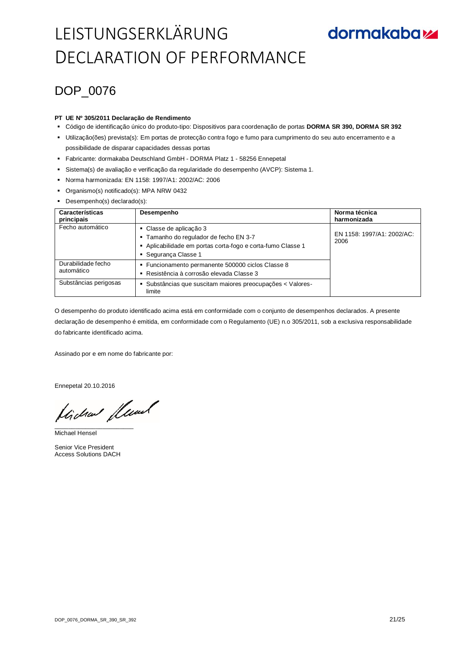## **dormakabazz**

### DOP\_0076

### **PT UE Nº 305/2011 Declaração de Rendimento**

- Código de identificação único do produto-tipo: Dispositivos para coordenação de portas **DORMA SR 390, DORMA SR 392**
- Utilização(ões) prevista(s): Em portas de protecção contra fogo e fumo para cumprimento do seu auto encerramento e a possibilidade de disparar capacidades dessas portas
- Fabricante: dormakaba Deutschland GmbH DORMA Platz 1 58256 Ennepetal
- Sistema(s) de avaliação e verificação da regularidade do desempenho (AVCP): Sistema 1.
- Norma harmonizada: EN 1158: 1997/A1: 2002/AC: 2006
- Organismo(s) notificado(s): MPA NRW 0432
- Desempenho(s) declarado(s):

| Características<br>principais    | Desempenho                                                                                                                                             | Norma técnica<br>harmonizada       |
|----------------------------------|--------------------------------------------------------------------------------------------------------------------------------------------------------|------------------------------------|
| Fecho automático                 | • Classe de aplicação 3<br>- Tamanho do regulador de fecho EN 3-7<br>Aplicabilidade em portas corta-fogo e corta-fumo Classe 1<br>• Segurança Classe 1 | EN 1158: 1997/A1: 2002/AC:<br>2006 |
| Durabilidade fecho<br>automático | • Funcionamento permanente 500000 ciclos Classe 8<br>Resistência à corrosão elevada Classe 3                                                           |                                    |
| Substâncias perigosas            | Substâncias que suscitam maiores preocupações < Valores-<br>limite                                                                                     |                                    |

O desempenho do produto identificado acima está em conformidade com o conjunto de desempenhos declarados. A presente declaração de desempenho é emitida, em conformidade com o Regulamento (UE) n.o 305/2011, sob a exclusiva responsabilidade do fabricante identificado acima.

Assinado por e em nome do fabricante por:

Ennepetal 20.10.2016

Hicha fluml

Michael Hensel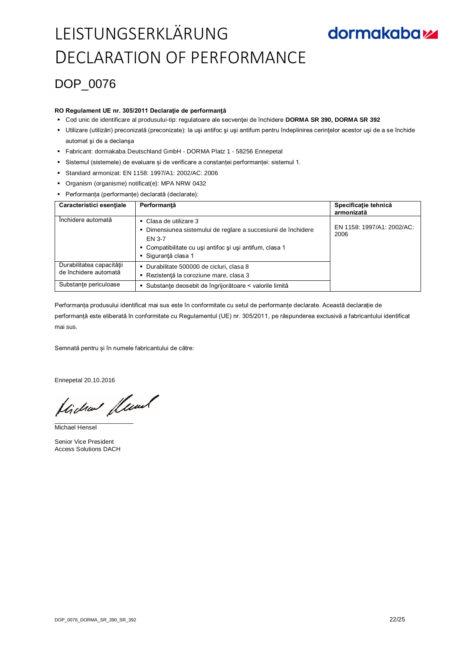### DOP\_0076

#### **RO Regulament UE nr. 305/2011 Declaraţie de performanţă**

- Cod unic de identificare al produsului-tip: regulatoare ale secvenţei de închidere **DORMA SR 390, DORMA SR 392**
- Utilizare (utilizări) preconizată (preconizate): la uşi antifoc şi uşi antifum pentru îndeplinirea cerinţelor acestor uşi de a se închide automat şi de a declanşa
- Fabricant: dormakaba Deutschland GmbH DORMA Platz 1 58256 Ennepetal
- Sistemul (sistemele) de evaluare și de verificare a constanței performanței: sistemul 1.
- Standard armonizat: EN 1158: 1997/A1: 2002/AC: 2006
- Organism (organisme) notificat(e): MPA NRW 0432
- Performanța (performanțe) declarată (declarate):

| Caracteristici esentiale                                                    | Performantă                                                                                                                                                                                      | Specificație tehnică<br>armonizată |
|-----------------------------------------------------------------------------|--------------------------------------------------------------------------------------------------------------------------------------------------------------------------------------------------|------------------------------------|
| Închidere automată                                                          | $\blacksquare$ Clasa de utilizare 3<br>Dimensiunea sistemului de reglare a succesiunii de închidere<br>FN 3-7<br>• Compatibilitate cu uși antifoc și uși antifum, clasa 1<br>■ Siguranță clasa 1 | EN 1158: 1997/A1: 2002/AC:<br>2006 |
| Durabilitatea capacității<br>de închidere automată<br>Substante periculoase | • Durabilitate 500000 de cicluri, clasa 8<br>- Rezistență la coroziune mare, clasa 3<br>· Substanțe deosebit de îngrijorătoare < valorile limită                                                 |                                    |

Performanța produsului identificat mai sus este în conformitate cu setul de performanțe declarate. Această declarație de performanță este eliberată în conformitate cu Regulamentul (UE) nr. 305/2011, pe răspunderea exclusivă a fabricantului identificat mai sus.

Semnată pentru și în numele fabricantului de către:

Ennepetal 20.10.2016

Hichard Leval

Michael Hensel

Senior Vice President Access Solutions DACH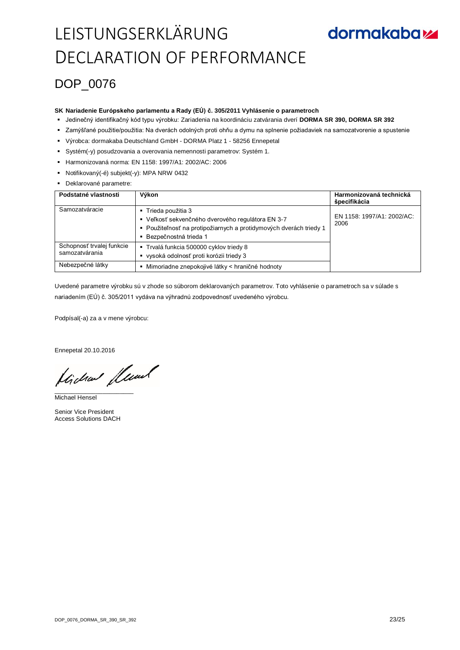### DOP\_0076

#### **SK Nariadenie Európskeho parlamentu a Rady (EÚ) č. 305/2011 Vyhlásenie o parametroch**

- Jedinečný identifikačný kód typu výrobku: Zariadenia na koordináciu zatvárania dverí **DORMA SR 390, DORMA SR 392**
- Zamýšľané použitie/použitia: Na dverách odolných proti ohňu a dymu na splnenie požiadaviek na samozatvorenie a spustenie
- Výrobca: dormakaba Deutschland GmbH DORMA Platz 1 58256 Ennepetal
- Systém(-y) posudzovania a overovania nemennosti parametrov: Systém 1.
- Harmonizovaná norma: EN 1158: 1997/A1: 2002/AC: 2006
- Notifikovaný(-é) subjekt(-y): MPA NRW 0432
- Deklarované parametre:

| Podstatné vlastnosti                        | Výkon                                                                                                                                                                   | Harmonizovaná technická<br>špecifikácia |
|---------------------------------------------|-------------------------------------------------------------------------------------------------------------------------------------------------------------------------|-----------------------------------------|
| Samozatváracie                              | ■ Trieda použitia 3<br>• Veľkosť sekvenčného dverového regulátora EN 3-7<br>- Použiteľnosť na protipožiarnych a protidymových dverách triedy 1<br>Bezpečnostná trieda 1 | EN 1158: 1997/A1: 2002/AC:<br>2006      |
| Schopnosť trvalej funkcie<br>samozatvárania | ■ Trvalá funkcia 500000 cyklov triedy 8<br>vysoká odolnosť proti korózii triedy 3                                                                                       |                                         |
| Nebezpečné látky                            | Mimoriadne znepokojivé látky < hraničné hodnoty                                                                                                                         |                                         |

Uvedené parametre výrobku sú v zhode so súborom deklarovaných parametrov. Toto vyhlásenie o parametroch sa v súlade s nariadením (EÚ) č. 305/2011 vydáva na výhradnú zodpovednosť uvedeného výrobcu.

Podpísal(-a) za a v mene výrobcu:

Ennepetal 20.10.2016

Hicha flund

Michael Hensel

Senior Vice President Access Solutions DACH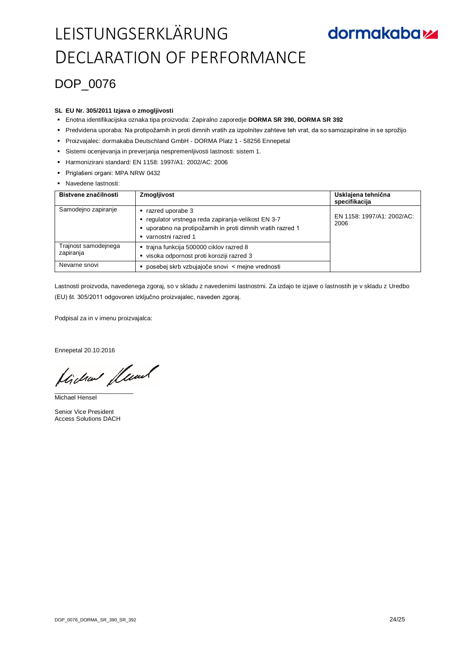### DOP\_0076

#### **SL EU Nr. 305/2011 Izjava o zmogljivosti**

- Enotna identifikacijska oznaka tipa proizvoda: Zapiralno zaporedje **DORMA SR 390, DORMA SR 392**
- Predvidena uporaba: Na protipožarnih in proti dimnih vratih za izpolnitev zahteve teh vrat, da so samozapiralne in se sprožijo
- Proizvajalec: dormakaba Deutschland GmbH DORMA Platz 1 58256 Ennepetal
- Sistemi ocenjevanja in preverjanja nespremenljivosti lastnosti: sistem 1.
- Harmonizirani standard: EN 1158: 1997/A1: 2002/AC: 2006
- Priglašeni organi: MPA NRW 0432
- **Navedene lastnosti:**

| Bistvene značilnosti              | Zmogljivost                                                                                                                                              | Usklajena tehnična<br>specifikacija |
|-----------------------------------|----------------------------------------------------------------------------------------------------------------------------------------------------------|-------------------------------------|
| Samodejno zapiranje               | razred uporabe 3<br>regulator vrstnega reda zapiranja-velikost EN 3-7<br>uporabno na protipožarnih in proti dimnih vratih razred 1<br>varnostni razred 1 | EN 1158: 1997/A1: 2002/AC:<br>2006  |
| Trajnost samodejnega<br>zapiranja | ■ traina funkcija 500000 ciklov razred 8<br>visoka odpornost proti koroziji razred 3                                                                     |                                     |
| Nevarne snovi                     | posebej skrb vzbujajoče snovi < mejne vrednosti                                                                                                          |                                     |

Lastnosti proizvoda, navedenega zgoraj, so v skladu z navedenimi lastnostmi. Za izdajo te izjave o lastnostih je v skladu z Uredbo (EU) št. 305/2011 odgovoren izključno proizvajalec, naveden zgoraj.

Podpisal za in v imenu proizvajalca:

Ennepetal 20.10.2016

Hicha flund

Michael Hensel

Senior Vice President Access Solutions DACH